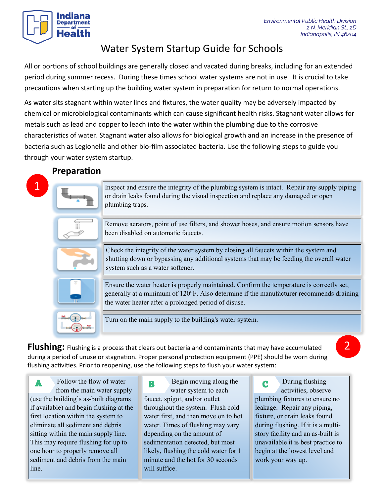# Indiana Department

## Water System Startup Guide for Schools

All or portions of school buildings are generally closed and vacated during breaks, including for an extended period during summer recess. During these times school water systems are not in use. It is crucial to take precautions when starting up the building water system in preparation for return to normal operations.

As water sits stagnant within water lines and fixtures, the water quality may be adversely impacted by chemical or microbiological contaminants which can cause significant health risks. Stagnant water allows for metals such as lead and copper to leach into the water within the plumbing due to the corrosive characteristics of water. Stagnant water also allows for biological growth and an increase in the presence of bacteria such as Legionella and other bio-film associated bacteria. Use the following steps to guide you through your water system startup.

## **Preparation**

1

Inspect and ensure the integrity of the plumbing system is intact. Repair any supply piping or drain leaks found during the visual inspection and replace any damaged or open plumbing traps.





Remove aerators, point of use filters, and shower hoses, and ensure motion sensors have been disabled on automatic faucets.

Check the integrity of the water system by closing all faucets within the system and shutting down or bypassing any additional systems that may be feeding the overall water system such as a water softener.

Ensure the water heater is properly maintained. Confirm the temperature is correctly set, generally at a minimum of 120°F. Also determine if the manufacturer recommends draining the water heater after a prolonged period of disuse.

Turn on the main supply to the building's water system.

**Flushing:** Flushing is a process that clears out bacteria and contaminants that may have accumulated during a period of unuse or stagnation. Proper personal protection equipment (PPE) should be worn during flushing activities. Prior to reopening, use the following steps to flush your water system:

Follow the flow of water from the main water supply (use the building's as-built diagrams if available) and begin flushing at the first location within the system to eliminate all sediment and debris sitting within the main supply line. This may require flushing for up to one hour to properly remove all sediment and debris from the main line.

Begin moving along the A B C water system to each faucet, spigot, and/or outlet throughout the system. Flush cold water first, and then move on to hot water. Times of flushing may vary depending on the amount of sedimentation detected, but most likely, flushing the cold water for 1 minute and the hot for 30 seconds will suffice.

During flushing activities, observe plumbing fixtures to ensure no leakage. Repair any piping, fixture, or drain leaks found during flushing. If it is a multistory facility and an as-built is unavailable it is best practice to begin at the lowest level and work your way up.

2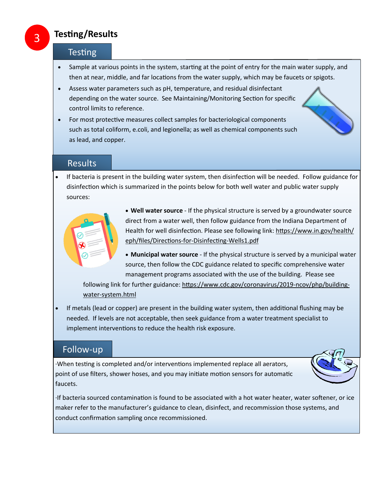### **Testing/Results**

#### **Testing**

- Sample at various points in the system, starting at the point of entry for the main water supply, and then at near, middle, and far locations from the water supply, which may be faucets or spigots.
- Assess water parameters such as pH, temperature, and residual disinfectant depending on the water source. See Maintaining/Monitoring Section for specific control limits to reference.
- For most protective measures collect samples for bacteriological components such as total coliform, e.coli, and legionella; as well as chemical components such as lead, and copper.

#### **Results**

• If bacteria is present in the building water system, then disinfection will be needed. Follow guidance for disinfection which is summarized in the points below for both well water and public water supply sources:



• **Well water source** - If the physical structure is served by a groundwater source direct from a water well, then follow guidance from the Indiana Department of Health for well disinfection. Please see following link: https://www.in.gov/health/ eph/files/Directions-for-Disinfecting-Wells1.pdf

• **Municipal water source** - If the physical structure is served by a municipal water source, then follow the CDC guidance related to specific comprehensive water management programs associated with the use of the building. Please see

following link for further guidance: https://www.cdc.gov/coronavirus/2019-ncov/php/buildingwater-system.html

• If metals (lead or copper) are present in the building water system, then additional flushing may be needed. If levels are not acceptable, then seek guidance from a water treatment specialist to implement interventions to reduce the health risk exposure.

#### Follow-up

·When testing is completed and/or interventions implemented replace all aerators, point of use filters, shower hoses, and you may initiate motion sensors for automatic faucets.



·If bacteria sourced contamination is found to be associated with a hot water heater, water softener, or ice maker refer to the manufacturer's guidance to clean, disinfect, and recommission those systems, and conduct confirmation sampling once recommissioned.